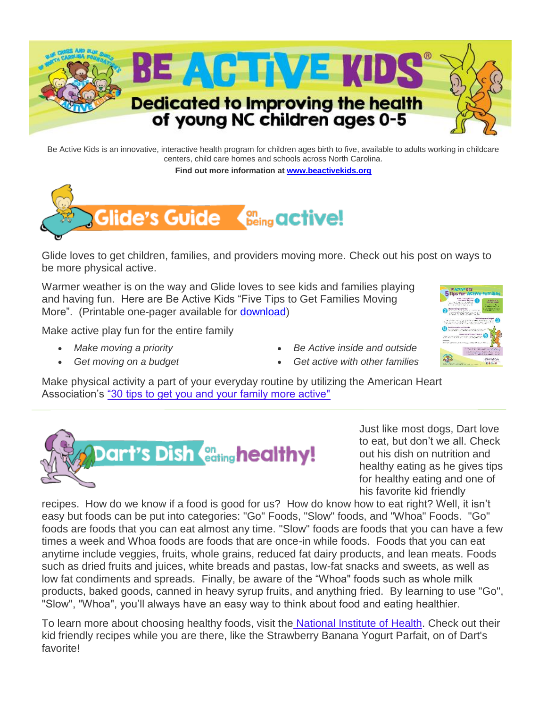

Be Active Kids is an innovative, interactive health program for children ages birth to five, available to adults working in childcare centers, child care homes and schools across North Carolina.

**Find out more information at [www.beactivekids.org](http://www.beactivekids.org/)**



Glide loves to get children, families, and providers moving more. Check out his post on ways to be more physical active.

Warmer weather is on the way and Glide loves to see kids and families playing and having fun. Here are Be Active Kids "Five Tips to Get Families Moving More". (Printable one-pager available for [download\)](http://www.beactivekids.org/assets/pdf/5_Tips_Active_Families.pdf)

Make active play fun for the entire family

- *Make moving a priority*
- *Get moving on a budget*
- *Be Active inside and outside*
- *Get active with other families*

Make physical activity a part of your everyday routine by utilizing the American Heart Association's ["30 tips to get you and your family more active"](https://www.heart.org/en/healthy-living/fitness/getting-active/daily-tips-to-help-keep-your-family-active)



Just like most dogs, Dart love to eat, but don't we all. Check out his dish on nutrition and healthy eating as he gives tips for healthy eating and one of his favorite kid friendly

recipes. How do we know if a food is good for us? How do know how to eat right? Well, it isn't easy but foods can be put into categories: "Go" Foods, "Slow" foods, and "Whoa" Foods. "Go" foods are foods that you can eat almost any time. "Slow" foods are foods that you can have a few times a week and Whoa foods are foods that are once-in while foods. Foods that you can eat anytime include veggies, fruits, whole grains, reduced fat dairy products, and lean meats. Foods such as dried fruits and juices, white breads and pastas, low-fat snacks and sweets, as well as low fat condiments and spreads. Finally, be aware of the "Whoa" foods such as whole milk products, baked goods, canned in heavy syrup fruits, and anything fried. By learning to use "Go", "Slow", "Whoa", you'll always have an easy way to think about food and eating healthier.

To learn more about choosing healthy foods, visit the [National Institute of](http://click.icptrack.com/icp/relay.php?r=&msgid=159112&act=111111&c=1494078&destination=https%3A%2F%2Fwww.nhlbi.nih.gov%2Fhealth%2Feducational%2Fwecan%2Feat-right%2Fchoosing-foods.htm) Health. Check out their kid friendly recipes while you are there, like the Strawberry Banana Yogurt Parfait, on of Dart's favorite!